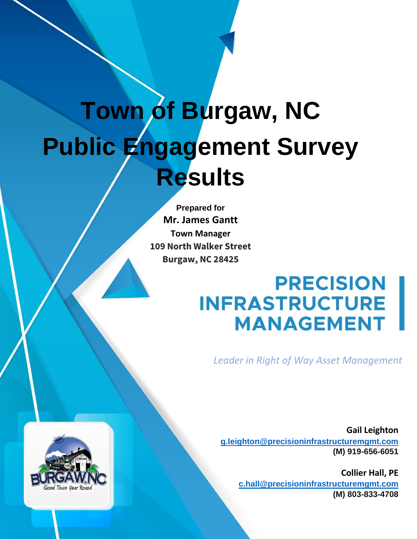# **Town of Burgaw, NC Public Engagement Survey Results**

**Prepared for Mr. James Gantt Town Manager 109 North Walker Street Burgaw, NC 28425**

# **PRECISION<br>INFRASTRUCTURE<br>MANAGEMENT**

*Leader in Right of Way Asset Management*

**Gail Leighton [g.leighton@precisioninfrastructuremgmt.com](mailto:g.leighton@precisioninfrastructuremgmt.com) (M) 919-656-6051**

**Collier Hall, PE [c.hall@precisioninfrastructuremgmt.com](mailto:c.hall@precisioninfrastructuremgmt.com) (M) 803-833-4708**

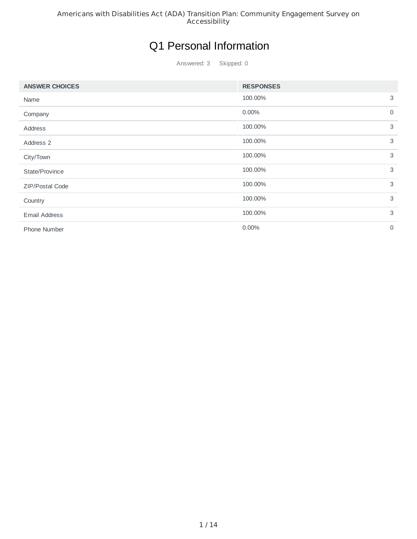## Q1 Personal Information

Answered: 3 Skipped: 0

| <b>ANSWER CHOICES</b>  | <b>RESPONSES</b> |             |
|------------------------|------------------|-------------|
| Name                   | 100.00%          | 3           |
| Company                | 0.00%            | $\mathbf 0$ |
| Address                | 100.00%          | 3           |
| Address 2              | 100.00%          | 3           |
| City/Town              | 100.00%          | 3           |
| State/Province         | 100.00%          | 3           |
| <b>ZIP/Postal Code</b> | 100.00%          | 3           |
| Country                | 100.00%          | 3           |
| <b>Email Address</b>   | 100.00%          | 3           |
| Phone Number           | 0.00%            | $\mathbf 0$ |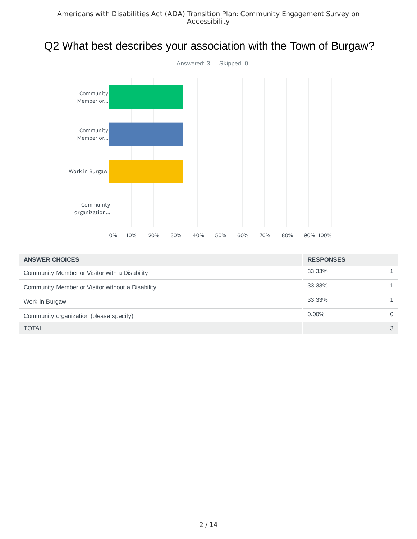# Q2 What best describes your association with the Town of Burgaw?



| <b>ANSWER CHOICES</b>                            | <b>RESPONSES</b> |               |
|--------------------------------------------------|------------------|---------------|
| Community Member or Visitor with a Disability    | 33.33%           |               |
| Community Member or Visitor without a Disability | 33.33%           |               |
| Work in Burgaw                                   | 33.33%           |               |
| Community organization (please specify)          | $0.00\%$         | 0             |
| <b>TOTAL</b>                                     |                  | $\mathcal{S}$ |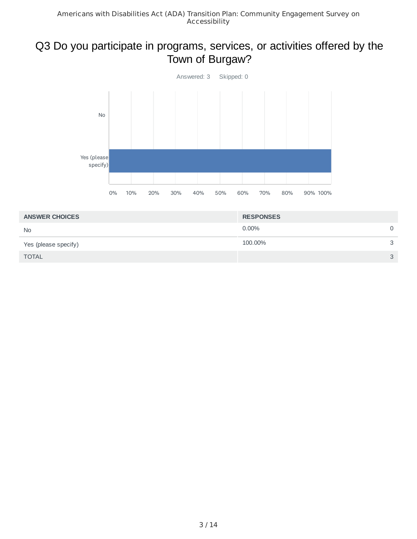#### Q3 Do you participate in programs, services, or activities offered by the Town of Burgaw?



| <b>ANSWER CHOICES</b> | <b>RESPONSES</b> |   |
|-----------------------|------------------|---|
| <b>No</b>             | $0.00\%$         | 0 |
| Yes (please specify)  | 100.00%          | 3 |
| <b>TOTAL</b>          |                  | 3 |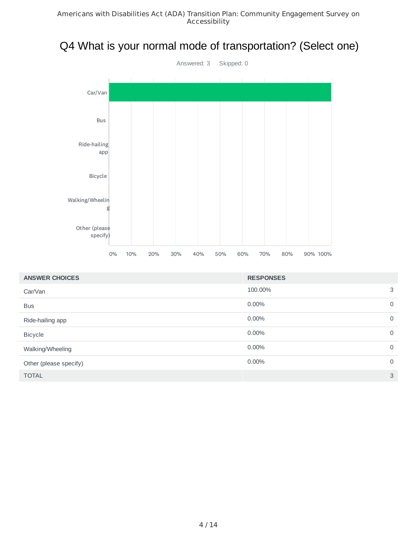# Q4 What is your normal mode of transportation? (Select one)



| <b>ANSWER CHOICES</b>  | <b>RESPONSES</b> |                |
|------------------------|------------------|----------------|
| Car/Van                | 100.00%          | 3              |
| <b>Bus</b>             | $0.00\%$         | $\mathbf 0$    |
| Ride-hailing app       | $0.00\%$         | $\mathbf 0$    |
| <b>Bicycle</b>         | $0.00\%$         | $\mathbf 0$    |
| Walking/Wheeling       | $0.00\%$         | $\mathbf 0$    |
| Other (please specify) | $0.00\%$         | $\overline{0}$ |
| <b>TOTAL</b>           |                  | 3              |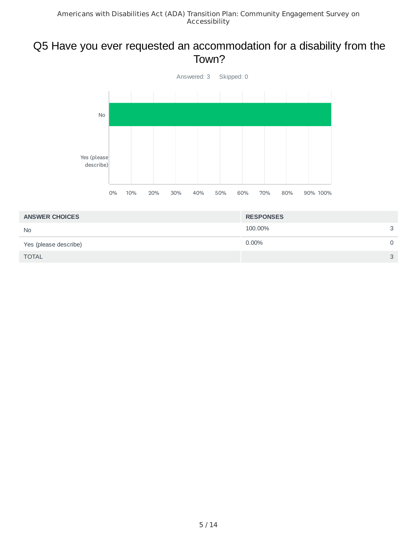#### Q5 Have you ever requested an accommodation for a disability from the Town?



| <b>ANSWER CHOICES</b> | <b>RESPONSES</b> |              |
|-----------------------|------------------|--------------|
| <b>No</b>             | 100.00%          | 3            |
| Yes (please describe) | $0.00\%$         |              |
| <b>TOTAL</b>          |                  | $\mathbf{r}$ |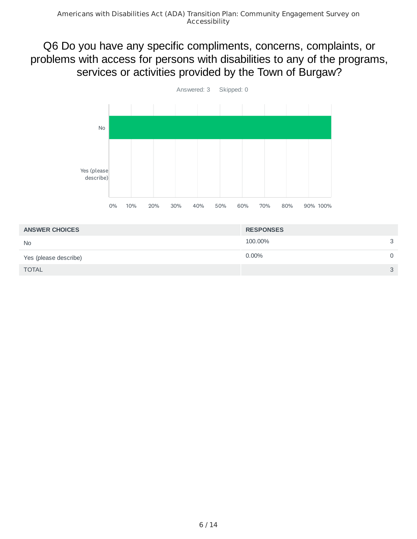#### Q6 Do you have any specific compliments, concerns, complaints, or problems with access for persons with disabilities to any of the programs, services or activities provided by the Town of Burgaw?



| <b>ANSWER CHOICES</b> | <b>RESPONSES</b> |              |
|-----------------------|------------------|--------------|
| <b>No</b>             | 100.00%          | $\mathbf{C}$ |
| Yes (please describe) | $0.00\%$         |              |
| <b>TOTAL</b>          |                  | $\mathbf{C}$ |
|                       |                  |              |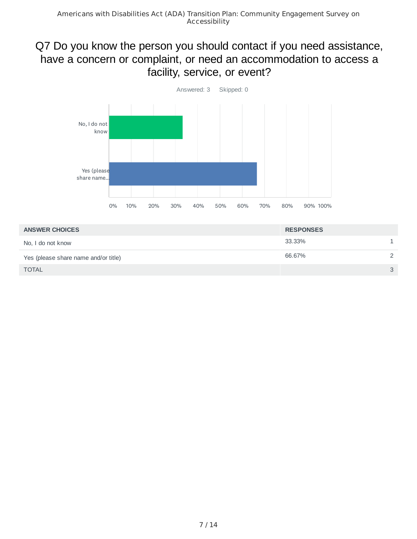#### Q7 Do you know the person you should contact if you need assistance, have a concern or complaint, or need an accommodation to access a facility, service, or event?



| <b>ANSWER CHOICES</b>                | <b>RESPONSES</b> |               |
|--------------------------------------|------------------|---------------|
| No, I do not know                    | 33.33%           |               |
| Yes (please share name and/or title) | 66.67%           |               |
| <b>TOTAL</b>                         |                  | $\mathcal{S}$ |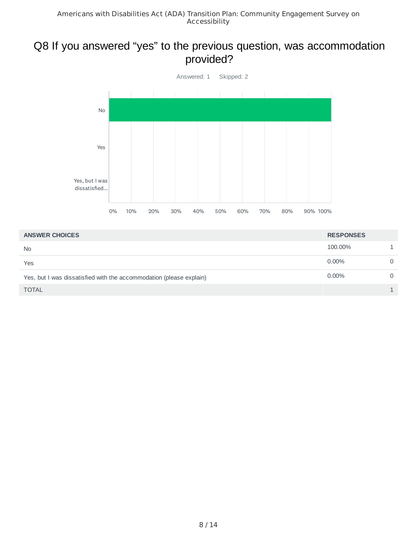#### Q8 If you answered "yes" to the previous question, was accommodation provided?



| <b>ANSWER CHOICES</b>                                               | <b>RESPONSES</b> |   |
|---------------------------------------------------------------------|------------------|---|
| <b>No</b>                                                           | 100.00%          |   |
| Yes                                                                 | $0.00\%$         | 0 |
| Yes, but I was dissatisfied with the accommodation (please explain) | $0.00\%$         | 0 |
| <b>TOTAL</b>                                                        |                  |   |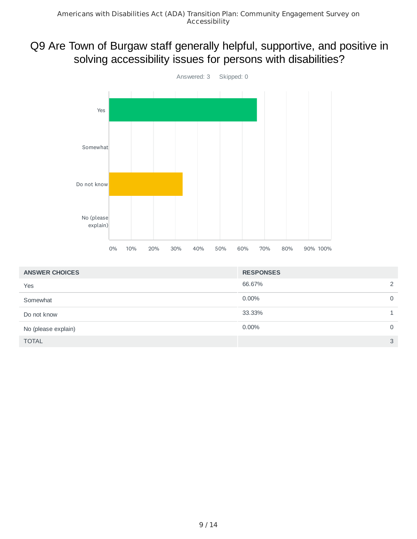#### Q9 Are Town of Burgaw staff generally helpful, supportive, and positive in solving accessibility issues for persons with disabilities?



| <b>ANSWER CHOICES</b> | <b>RESPONSES</b> |             |
|-----------------------|------------------|-------------|
| Yes                   | 66.67%           | 2           |
| Somewhat              | 0.00%            | $\mathbf 0$ |
| Do not know           | 33.33%           |             |
| No (please explain)   | 0.00%            | $\mathbf 0$ |
| <b>TOTAL</b>          |                  | 3           |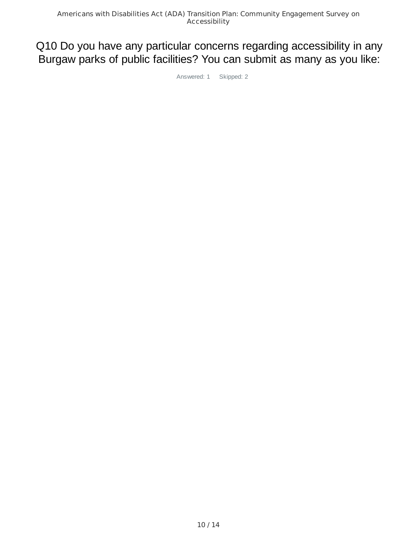#### Q10 Do you have any particular concerns regarding accessibility in any Burgaw parks of public facilities? You can submit as many as you like:

Answered: 1 Skipped: 2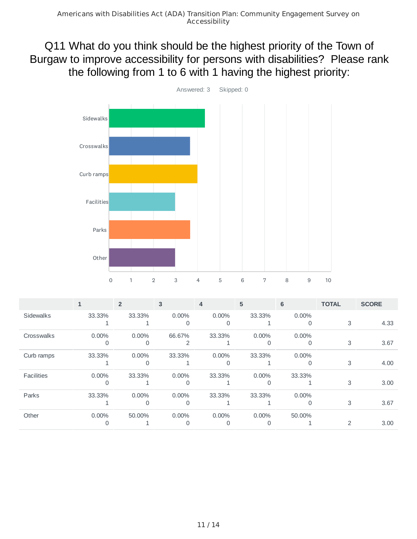Q11 What do you think should be the highest priority of the Town of Burgaw to improve accessibility for persons with disabilities? Please rank the following from 1 to 6 with 1 having the highest priority:



|                   |          | $\overline{2}$ | 3        | $\overline{4}$ | 5        | 6        | <b>TOTAL</b>   | <b>SCORE</b> |
|-------------------|----------|----------------|----------|----------------|----------|----------|----------------|--------------|
| <b>Sidewalks</b>  | 33.33%   | 33.33%         | $0.00\%$ | $0.00\%$       | 33.33%   | 0.00%    |                |              |
|                   |          |                | 0        | 0              |          | 0        | 3              | 4.33         |
| Crosswalks        | $0.00\%$ | $0.00\%$       | 66.67%   | 33.33%         | $0.00\%$ | 0.00%    |                |              |
|                   | 0        |                |          |                | 0        | 0        | 3              | 3.67         |
| Curb ramps        | 33.33%   | $0.00\%$       | 33.33%   | $0.00\%$       | 33.33%   | $0.00\%$ |                |              |
|                   |          |                |          |                |          | 0        | 3              | 4.00         |
| <b>Facilities</b> | $0.00\%$ | 33.33%         | $0.00\%$ | 33.33%         | 0.00%    | 33.33%   |                |              |
|                   | Ω        |                |          |                |          |          | 3              | 3.00         |
| Parks             | 33.33%   | $0.00\%$       | $0.00\%$ | 33.33%         | 33.33%   | $0.00\%$ |                |              |
|                   |          | 0              | 0        |                |          | 0        | 3              | 3.67         |
| Other             | $0.00\%$ | 50.00%         | $0.00\%$ | $0.00\%$       | $0.00\%$ | 50.00%   |                |              |
|                   | 0        |                |          |                | O        |          | $\overline{2}$ | 3.00         |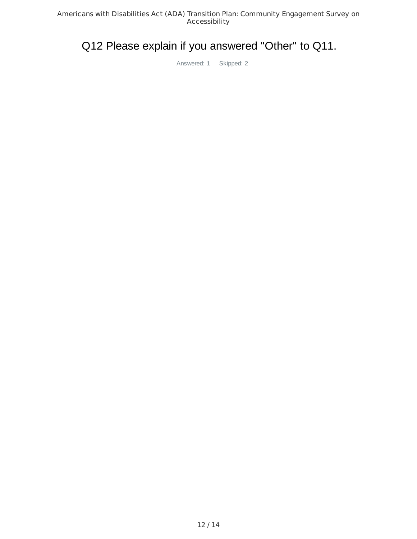## Q12 Please explain if you answered "Other" to Q11.

Answered: 1 Skipped: 2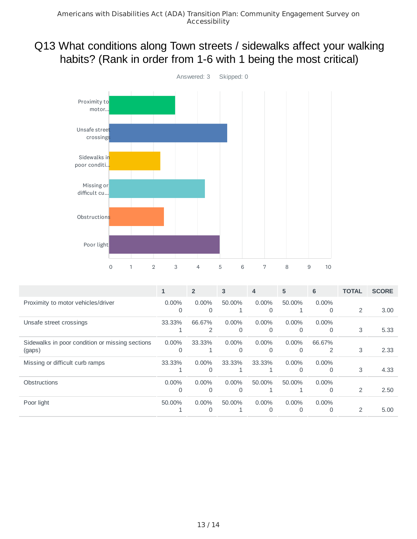#### Q13 What conditions along Town streets / sidewalks affect your walking habits? (Rank in order from 1-6 with 1 being the most critical)



|                                                 | $\mathbf{1}$ | $\overline{2}$ | 3            | 4        | 5        | 6              | <b>TOTAL</b>   | <b>SCORE</b> |
|-------------------------------------------------|--------------|----------------|--------------|----------|----------|----------------|----------------|--------------|
| Proximity to motor vehicles/driver              | $0.00\%$     | $0.00\%$       | 50.00%       | $0.00\%$ | 50.00%   | $0.00\%$       |                |              |
|                                                 | $\Omega$     | $\Omega$       | $\mathbf{1}$ | $\Omega$ |          | 0              | $\overline{2}$ | 3.00         |
| Unsafe street crossings                         | 33.33%       | 66.67%         | $0.00\%$     | $0.00\%$ | $0.00\%$ | $0.00\%$       |                |              |
|                                                 |              | 2              | $\Omega$     | $\Omega$ | $\Omega$ | 0              | 3              | 5.33         |
| Sidewalks in poor condition or missing sections | $0.00\%$     | 33.33%         | $0.00\%$     | $0.00\%$ | $0.00\%$ | 66.67%         |                |              |
| (gaps)                                          | $\Omega$     |                | $\Omega$     | $\Omega$ | 0        | $\overline{2}$ | 3              | 2.33         |
| Missing or difficult curb ramps                 | 33.33%       | $0.00\%$       | 33.33%       | 33.33%   | 0.00%    | $0.00\%$       |                |              |
|                                                 |              | $\Omega$       |              |          | $\Omega$ | $\Omega$       | 3              | 4.33         |
| <b>Obstructions</b>                             | $0.00\%$     | $0.00\%$       | $0.00\%$     | 50.00%   | 50.00%   | $0.00\%$       |                |              |
|                                                 | $\Omega$     | $\Omega$       | $\Omega$     |          |          | 0              | $\overline{2}$ | 2.50         |
| Poor light                                      | 50.00%       | $0.00\%$       | 50.00%       | $0.00\%$ | 0.00%    | $0.00\%$       |                |              |
|                                                 |              | $\Omega$       |              | $\Omega$ | $\Omega$ | $\Omega$       | 2              | 5.00         |